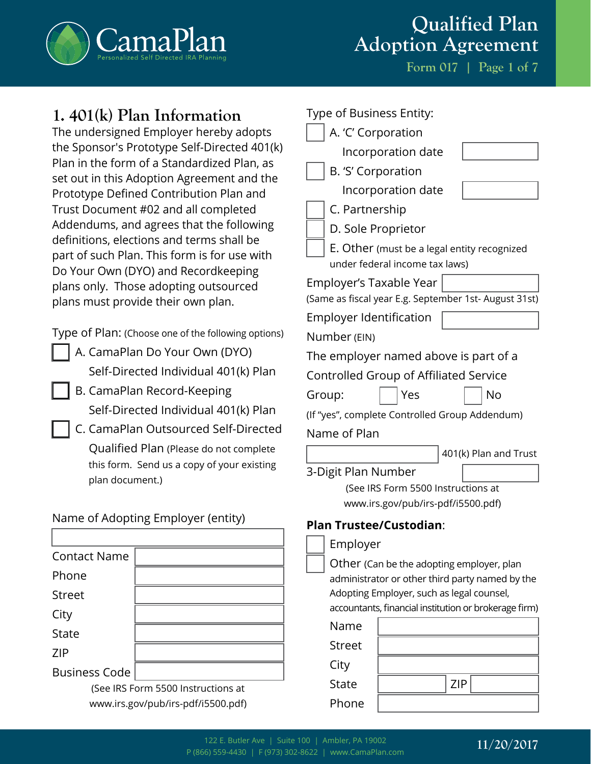

**Form 017 | Page 1 of 7**

## **1. 401(k) Plan Information**

The undersigned Employer hereby adopts the Sponsor's Prototype Self-Directed 401(k) Plan in the form of a Standardized Plan, as set out in this Adoption Agreement and the Prototype Defined Contribution Plan and Trust Document #02 and all completed Addendums, and agrees that the following definitions, elections and terms shall be part of such Plan. This form is for use with Do Your Own (DYO) and Recordkeeping plans only. Those adopting outsourced plans must provide their own plan.

Type of Plan: (Choose one of the following options)

- A. CamaPlan Do Your Own (DYO) Self-Directed Individual 401(k) Plan
- B. CamaPlan Record-Keeping Self-Directed Individual 401(k) Plan
- C. CamaPlan Outsourced Self-Directed Qualified Plan (Please do not complete this form. Send us a copy of your existing plan document.)

### Name of Adopting Employer (entity)

| <b>Contact Name</b>  |                                    |
|----------------------|------------------------------------|
| Phone                |                                    |
| <b>Street</b>        |                                    |
| City                 |                                    |
| <b>State</b>         |                                    |
| <b>ZIP</b>           |                                    |
| <b>Business Code</b> |                                    |
|                      | (Son IDS Earm 5500 Instructions of |

(See IRS Form 5500 Instructions at www.irs.gov/pub/irs-pdf/i5500.pdf)

| Type of Business Entity:                                                                     |
|----------------------------------------------------------------------------------------------|
| A. 'C' Corporation                                                                           |
| Incorporation date                                                                           |
| B. 'S' Corporation                                                                           |
| Incorporation date                                                                           |
| C. Partnership                                                                               |
| D. Sole Proprietor                                                                           |
| E. Other (must be a legal entity recognized<br>under federal income tax laws)                |
| Employer's Taxable Year                                                                      |
| (Same as fiscal year E.g. September 1st- August 31st)                                        |
| <b>Employer Identification</b>                                                               |
| Number (EIN)                                                                                 |
| The employer named above is part of a                                                        |
| <b>Controlled Group of Affiliated Service</b>                                                |
| Yes<br>No<br>Group:                                                                          |
| (If "yes", complete Controlled Group Addendum)                                               |
| Name of Plan                                                                                 |
| 401(k) Plan and Trust                                                                        |
| 3-Digit Plan Number                                                                          |
| (See IRS Form 5500 Instructions at                                                           |
| www.irs.gov/pub/irs-pdf/i5500.pdf)                                                           |
| <b>Plan Trustee/Custodian:</b>                                                               |
| Employer                                                                                     |
| Other (Can be the adopting employer, plan                                                    |
| administrator or other third party named by the<br>Adopting Employer, such as legal counsel, |
| accountants, financial institution or brokerage firm)                                        |
|                                                                                              |

| Name          |            |
|---------------|------------|
| <b>Street</b> |            |
| City          |            |
| <b>State</b>  | <b>ZIP</b> |
| Phone         |            |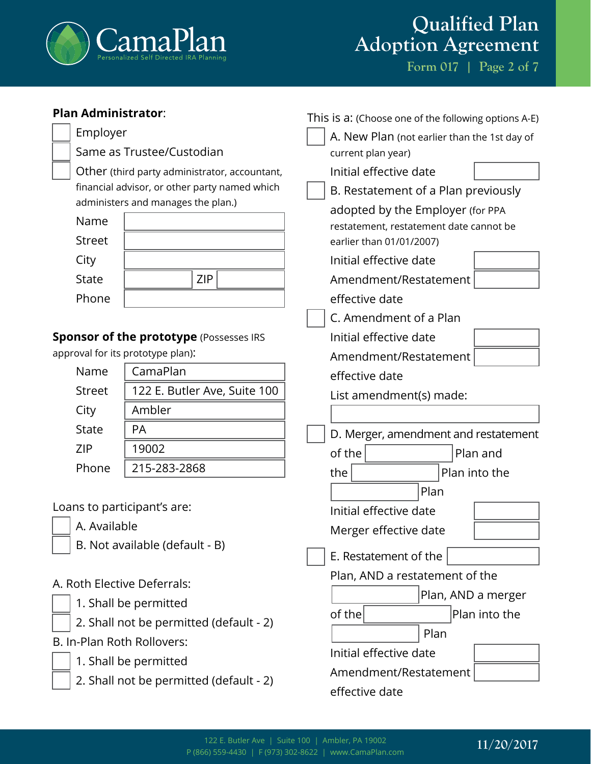

**Form 017 | Page 2 of 7**

| <b>Plan Administrator:</b>              |                                                |                                              | This is a: (Choose one of the following options A-E) |
|-----------------------------------------|------------------------------------------------|----------------------------------------------|------------------------------------------------------|
| Employer                                |                                                | A. New Plan (not earlier than the 1st day of |                                                      |
|                                         | Same as Trustee/Custodian                      |                                              | current plan year)                                   |
|                                         | Other (third party administrator, accountant,  |                                              | Initial effective date                               |
|                                         | financial advisor, or other party named which  |                                              | B. Restatement of a Plan previously                  |
|                                         | administers and manages the plan.)             |                                              | adopted by the Employer (for PPA                     |
| Name                                    |                                                |                                              | restatement, restatement date cannot be              |
| <b>Street</b>                           |                                                |                                              | earlier than 01/01/2007)                             |
| City                                    |                                                |                                              | Initial effective date                               |
| <b>State</b>                            | <b>ZIP</b>                                     |                                              | Amendment/Restatement                                |
| Phone                                   |                                                |                                              | effective date                                       |
|                                         |                                                |                                              | C. Amendment of a Plan                               |
|                                         | <b>Sponsor of the prototype (Possesses IRS</b> |                                              | Initial effective date                               |
|                                         | approval for its prototype plan):              |                                              | Amendment/Restatement                                |
| Name                                    | CamaPlan                                       |                                              | effective date                                       |
| <b>Street</b>                           | 122 E. Butler Ave, Suite 100                   |                                              | List amendment(s) made:                              |
| City                                    | Ambler                                         |                                              |                                                      |
| <b>State</b>                            | PA                                             |                                              | D. Merger, amendment and restatement                 |
| <b>ZIP</b>                              | 19002                                          |                                              | of the<br>Plan and                                   |
| Phone                                   | 215-283-2868                                   |                                              | the<br>Plan into the                                 |
|                                         |                                                |                                              | Plan                                                 |
| Loans to participant's are:             |                                                |                                              | Initial effective date                               |
| A. Available                            |                                                |                                              | Merger effective date                                |
|                                         | B. Not available (default - B)                 |                                              | E. Restatement of the                                |
| A. Roth Elective Deferrals:             |                                                |                                              | Plan, AND a restatement of the                       |
|                                         |                                                |                                              | Plan, AND a merger                                   |
| 1. Shall be permitted                   |                                                | of the<br>Plan into the                      |                                                      |
| 2. Shall not be permitted (default - 2) |                                                | Plan                                         |                                                      |
| B. In-Plan Roth Rollovers:              |                                                |                                              | Initial effective date                               |
| 1. Shall be permitted                   |                                                |                                              | Amendment/Restatement                                |
|                                         | 2. Shall not be permitted (default - 2)        |                                              | effective date                                       |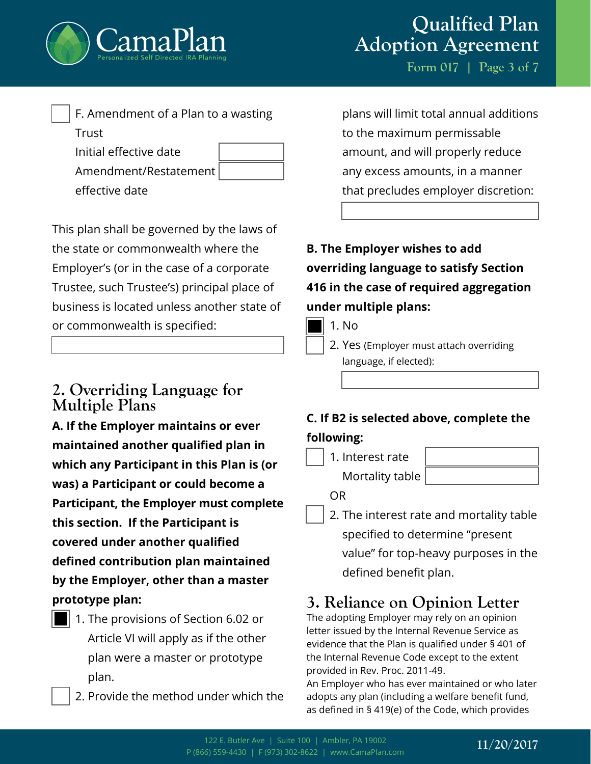

| F. Amendment of a Plan to a wasting |  |
|-------------------------------------|--|
| Trust                               |  |
| Initial effective date              |  |
| Amendment/Restatement               |  |

effective date

This plan shall be governed by the laws of the state or commonwealth where the Employer's (or in the case of a corporate Trustee, such Trustee's) principal place of business is located unless another state of or commonwealth is specified:

## **2. Overriding Language for Multiple Plans**

**A. If the Employer maintains or ever maintained another qualified plan in which any Participant in this Plan is (or was) a Participant or could become a Participant, the Employer must complete this section. If the Participant is covered under another qualified defined contribution plan maintained by the Employer, other than a master prototype plan:**

- 1. The provisions of Section 6.02 or Article VI will apply as if the other plan were a master or prototype plan.
	- 2. Provide the method under which the

# **Qualified Plan Adoption Agreement**

**Form 017 | Page 3 of 7**

plans will limit total annual additions to the maximum permissable amount, and will properly reduce any excess amounts, in a manner that precludes employer discretion:

**B. The Employer wishes to add overriding language to satisfy Section 416 in the case of required aggregation under multiple plans:**

N<sub>o</sub>

2. Yes (Employer must attach overriding language, if elected):

## **C. If B2 is selected above, complete the following:**

1. Interest rate Mortality table

OR

2. The interest rate and mortality table specified to determine "present value" for top-heavy purposes in the defined benefit plan.

# **3. Reliance on Opinion Letter**

The adopting Employer may rely on an opinion letter issued by the Internal Revenue Service as evidence that the Plan is qualified under § 401 of the Internal Revenue Code except to the extent provided in Rev. Proc. 2011-49.

An Employer who has ever maintained or who later adopts any plan (including a welfare benefit fund, as defined in § 419(e) of the Code, which provides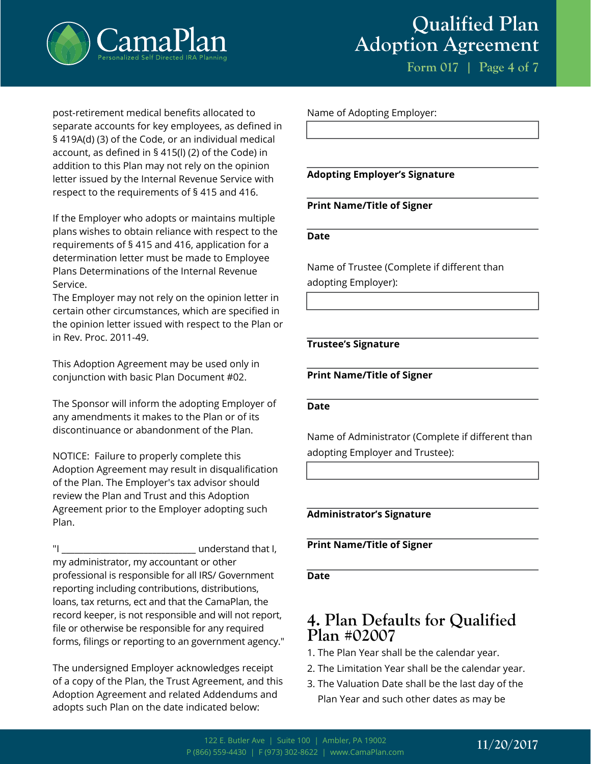

**Form 017 | Page 4 of 7**

post-retirement medical benefits allocated to separate accounts for key employees, as defined in § 419A(d) (3) of the Code, or an individual medical account, as defined in § 415(l) (2) of the Code) in addition to this Plan may not rely on the opinion letter issued by the Internal Revenue Service with respect to the requirements of § 415 and 416.

If the Employer who adopts or maintains multiple plans wishes to obtain reliance with respect to the requirements of § 415 and 416, application for a determination letter must be made to Employee Plans Determinations of the Internal Revenue Service.

The Employer may not rely on the opinion letter in certain other circumstances, which are specified in the opinion letter issued with respect to the Plan or in Rev. Proc. 2011-49.

This Adoption Agreement may be used only in conjunction with basic Plan Document #02.

The Sponsor will inform the adopting Employer of any amendments it makes to the Plan or of its discontinuance or abandonment of the Plan.

NOTICE: Failure to properly complete this Adoption Agreement may result in disqualification of the Plan. The Employer's tax advisor should review the Plan and Trust and this Adoption Agreement prior to the Employer adopting such Plan.

"I \_\_\_\_\_\_\_\_\_\_\_\_\_\_\_\_\_\_\_\_\_\_\_\_\_\_\_\_\_\_\_ understand that I, my administrator, my accountant or other professional is responsible for all IRS/ Government reporting including contributions, distributions, loans, tax returns, ect and that the CamaPlan, the record keeper, is not responsible and will not report, file or otherwise be responsible for any required forms, filings or reporting to an government agency."

The undersigned Employer acknowledges receipt of a copy of the Plan, the Trust Agreement, and this Adoption Agreement and related Addendums and adopts such Plan on the date indicated below:

Name of Adopting Employer:

#### **Adopting Employer's Signature**

#### **Print Name/Title of Signer**

#### **Date**

Name of Trustee (Complete if different than adopting Employer):

#### **Trustee's Signature**

#### **Print Name/Title of Signer**

#### **Date**

Name of Administrator (Complete if different than adopting Employer and Trustee):

#### **Administrator's Signature**

#### **Print Name/Title of Signer**

#### **Date**

## **4. Plan Defaults for Qualified Plan #02007**

- 1. The Plan Year shall be the calendar year.
- 2. The Limitation Year shall be the calendar year.
- 3. The Valuation Date shall be the last day of the Plan Year and such other dates as may be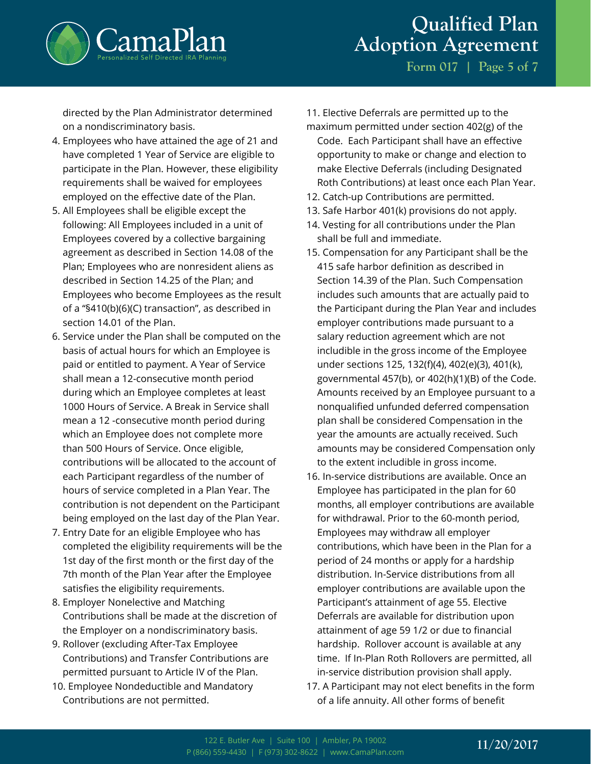

**Form 017 | Page 5 of 7**

directed by the Plan Administrator determined on a nondiscriminatory basis.

- 4. Employees who have attained the age of 21 and have completed 1 Year of Service are eligible to participate in the Plan. However, these eligibility requirements shall be waived for employees employed on the effective date of the Plan.
- 5. All Employees shall be eligible except the following: All Employees included in a unit of Employees covered by a collective bargaining agreement as described in Section 14.08 of the Plan; Employees who are nonresident aliens as described in Section 14.25 of the Plan; and Employees who become Employees as the result of a "§410(b)(6)(C) transaction", as described in section 14.01 of the Plan.
- 6. Service under the Plan shall be computed on the basis of actual hours for which an Employee is paid or entitled to payment. A Year of Service shall mean a 12-consecutive month period during which an Employee completes at least 1000 Hours of Service. A Break in Service shall mean a 12 -consecutive month period during which an Employee does not complete more than 500 Hours of Service. Once eligible, contributions will be allocated to the account of each Participant regardless of the number of hours of service completed in a Plan Year. The contribution is not dependent on the Participant being employed on the last day of the Plan Year.
- 7. Entry Date for an eligible Employee who has completed the eligibility requirements will be the 1st day of the first month or the first day of the 7th month of the Plan Year after the Employee satisfies the eligibility requirements.
- 8. Employer Nonelective and Matching Contributions shall be made at the discretion of the Employer on a nondiscriminatory basis.
- 9. Rollover (excluding After-Tax Employee Contributions) and Transfer Contributions are permitted pursuant to Article IV of the Plan.
- 10. Employee Nondeductible and Mandatory Contributions are not permitted.

11. Elective Deferrals are permitted up to the

- maximum permitted under section 402(g) of the Code. Each Participant shall have an effective opportunity to make or change and election to make Elective Deferrals (including Designated Roth Contributions) at least once each Plan Year.
- 12. Catch-up Contributions are permitted.
- 13. Safe Harbor 401(k) provisions do not apply.
- 14. Vesting for all contributions under the Plan shall be full and immediate.
- 15. Compensation for any Participant shall be the 415 safe harbor definition as described in Section 14.39 of the Plan. Such Compensation includes such amounts that are actually paid to the Participant during the Plan Year and includes employer contributions made pursuant to a salary reduction agreement which are not includible in the gross income of the Employee under sections 125, 132(f)(4), 402(e)(3), 401(k), governmental 457(b), or 402(h)(1)(B) of the Code. Amounts received by an Employee pursuant to a nonqualified unfunded deferred compensation plan shall be considered Compensation in the year the amounts are actually received. Such amounts may be considered Compensation only to the extent includible in gross income.
- 16. In-service distributions are available. Once an Employee has participated in the plan for 60 months, all employer contributions are available for withdrawal. Prior to the 60-month period, Employees may withdraw all employer contributions, which have been in the Plan for a period of 24 months or apply for a hardship distribution. In-Service distributions from all employer contributions are available upon the Participant's attainment of age 55. Elective Deferrals are available for distribution upon attainment of age 59 1/2 or due to financial hardship. Rollover account is available at any time. If In-Plan Roth Rollovers are permitted, all in-service distribution provision shall apply.
- 17. A Participant may not elect benefits in the form of a life annuity. All other forms of benefit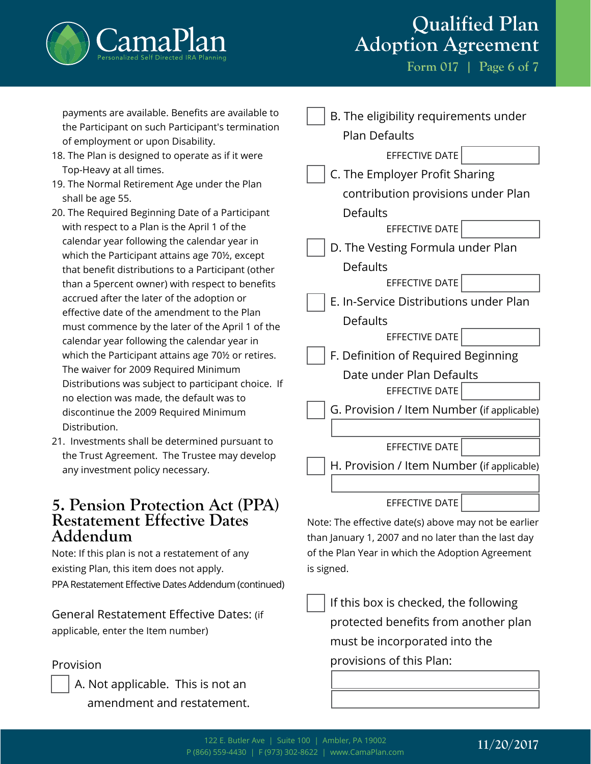

**Form 017 | Page 6 of 7**

payments are available. Benefits are available to the Participant on such Participant's termination of employment or upon Disability.

- 18. The Plan is designed to operate as if it were Top-Heavy at all times.
- 19. The Normal Retirement Age under the Plan shall be age 55.
- 20. The Required Beginning Date of a Participant with respect to a Plan is the April 1 of the calendar year following the calendar year in which the Participant attains age 70½, except that benefit distributions to a Participant (other than a 5percent owner) with respect to benefits accrued after the later of the adoption or effective date of the amendment to the Plan must commence by the later of the April 1 of the calendar year following the calendar year in which the Participant attains age 70½ or retires. The waiver for 2009 Required Minimum Distributions was subject to participant choice. If no election was made, the default was to discontinue the 2009 Required Minimum Distribution.
- 21. Investments shall be determined pursuant to the Trust Agreement. The Trustee may develop any investment policy necessary.

## **5. Pension Protection Act (PPA) Restatement Effective Dates Addendum**

Note: If this plan is not a restatement of any existing Plan, this item does not apply. PPA Restatement Effective Dates Addendum (continued)

General Restatement Effective Dates: (if applicable, enter the Item number)

### Provision

A. Not applicable. This is not an amendment and restatement.

| B. The eligibility requirements under      |  |
|--------------------------------------------|--|
| <b>Plan Defaults</b>                       |  |
| EFFECTIVE DATE                             |  |
| C. The Employer Profit Sharing             |  |
| contribution provisions under Plan         |  |
| <b>Defaults</b>                            |  |
| EFFECTIVE DATE                             |  |
| D. The Vesting Formula under Plan          |  |
| <b>Defaults</b>                            |  |
| EFFECTIVE DATE                             |  |
| E. In-Service Distributions under Plan     |  |
| Defaults                                   |  |
| EFFECTIVE DATE                             |  |
| F. Definition of Required Beginning        |  |
| Date under Plan Defaults                   |  |
| EFFECTIVE DATE                             |  |
| G. Provision / Item Number (if applicable) |  |
|                                            |  |
| <b>EFFECTIVE DATE</b>                      |  |
| H. Provision / Item Number (if applicable) |  |
|                                            |  |
| <b>EFFECTIVE DATE</b>                      |  |

Note: The effective date(s) above may not be earlier than January 1, 2007 and no later than the last day of the Plan Year in which the Adoption Agreement is signed.

If this box is checked, the following protected benefits from another plan must be incorporated into the provisions of this Plan: